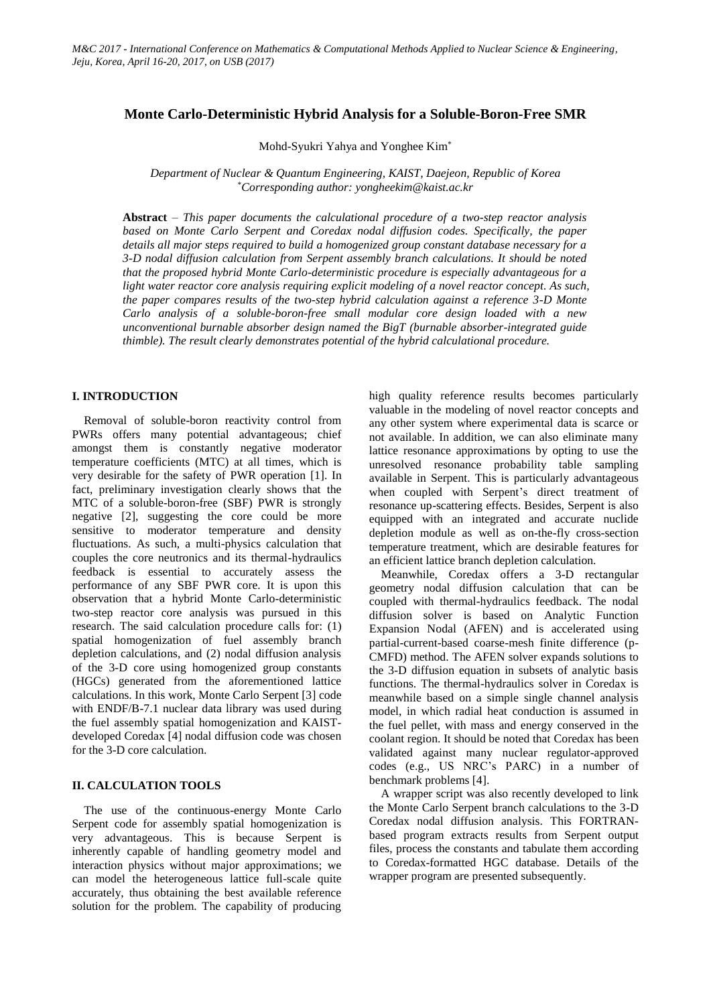## **Monte Carlo-Deterministic Hybrid Analysis for a Soluble-Boron-Free SMR**

Mohd-Syukri Yahya and Yonghee Kim

*Department of Nuclear & Quantum Engineering, KAIST, Daejeon, Republic of Korea* \**Corresponding author: yongheekim@kaist.ac.kr*

**Abstract** *– This paper documents the calculational procedure of a two-step reactor analysis based on Monte Carlo Serpent and Coredax nodal diffusion codes. Specifically, the paper details all major steps required to build a homogenized group constant database necessary for a 3-D nodal diffusion calculation from Serpent assembly branch calculations. It should be noted that the proposed hybrid Monte Carlo-deterministic procedure is especially advantageous for a light water reactor core analysis requiring explicit modeling of a novel reactor concept. As such, the paper compares results of the two-step hybrid calculation against a reference 3-D Monte Carlo analysis of a soluble-boron-free small modular core design loaded with a new unconventional burnable absorber design named the BigT (burnable absorber-integrated guide thimble). The result clearly demonstrates potential of the hybrid calculational procedure.* 

### **I. INTRODUCTION**

Removal of soluble-boron reactivity control from PWRs offers many potential advantageous; chief amongst them is constantly negative moderator temperature coefficients (MTC) at all times, which is very desirable for the safety of PWR operation [1]. In fact, preliminary investigation clearly shows that the MTC of a soluble-boron-free (SBF) PWR is strongly negative [2], suggesting the core could be more sensitive to moderator temperature and density fluctuations. As such, a multi-physics calculation that couples the core neutronics and its thermal-hydraulics feedback is essential to accurately assess the performance of any SBF PWR core. It is upon this observation that a hybrid Monte Carlo-deterministic two-step reactor core analysis was pursued in this research. The said calculation procedure calls for: (1) spatial homogenization of fuel assembly branch depletion calculations, and (2) nodal diffusion analysis of the 3-D core using homogenized group constants (HGCs) generated from the aforementioned lattice calculations. In this work, Monte Carlo Serpent [3] code with ENDF/B-7.1 nuclear data library was used during the fuel assembly spatial homogenization and KAISTdeveloped Coredax [4] nodal diffusion code was chosen for the 3-D core calculation.

### **II. CALCULATION TOOLS**

The use of the continuous-energy Monte Carlo Serpent code for assembly spatial homogenization is very advantageous. This is because Serpent is inherently capable of handling geometry model and interaction physics without major approximations; we can model the heterogeneous lattice full-scale quite accurately, thus obtaining the best available reference solution for the problem. The capability of producing

high quality reference results becomes particularly valuable in the modeling of novel reactor concepts and any other system where experimental data is scarce or not available. In addition, we can also eliminate many lattice resonance approximations by opting to use the unresolved resonance probability table sampling available in Serpent. This is particularly advantageous when coupled with Serpent's direct treatment of resonance up-scattering effects. Besides, Serpent is also equipped with an integrated and accurate nuclide depletion module as well as on-the-fly cross-section temperature treatment, which are desirable features for an efficient lattice branch depletion calculation.

Meanwhile, Coredax offers a 3-D rectangular geometry nodal diffusion calculation that can be coupled with thermal-hydraulics feedback. The nodal diffusion solver is based on Analytic Function Expansion Nodal (AFEN) and is accelerated using partial-current-based coarse-mesh finite difference (p-CMFD) method. The AFEN solver expands solutions to the 3-D diffusion equation in subsets of analytic basis functions. The thermal-hydraulics solver in Coredax is meanwhile based on a simple single channel analysis model, in which radial heat conduction is assumed in the fuel pellet, with mass and energy conserved in the coolant region. It should be noted that Coredax has been validated against many nuclear regulator-approved codes (e.g., US NRC's PARC) in a number of benchmark problems [4].

A wrapper script was also recently developed to link the Monte Carlo Serpent branch calculations to the 3-D Coredax nodal diffusion analysis. This FORTRANbased program extracts results from Serpent output files, process the constants and tabulate them according to Coredax-formatted HGC database. Details of the wrapper program are presented subsequently.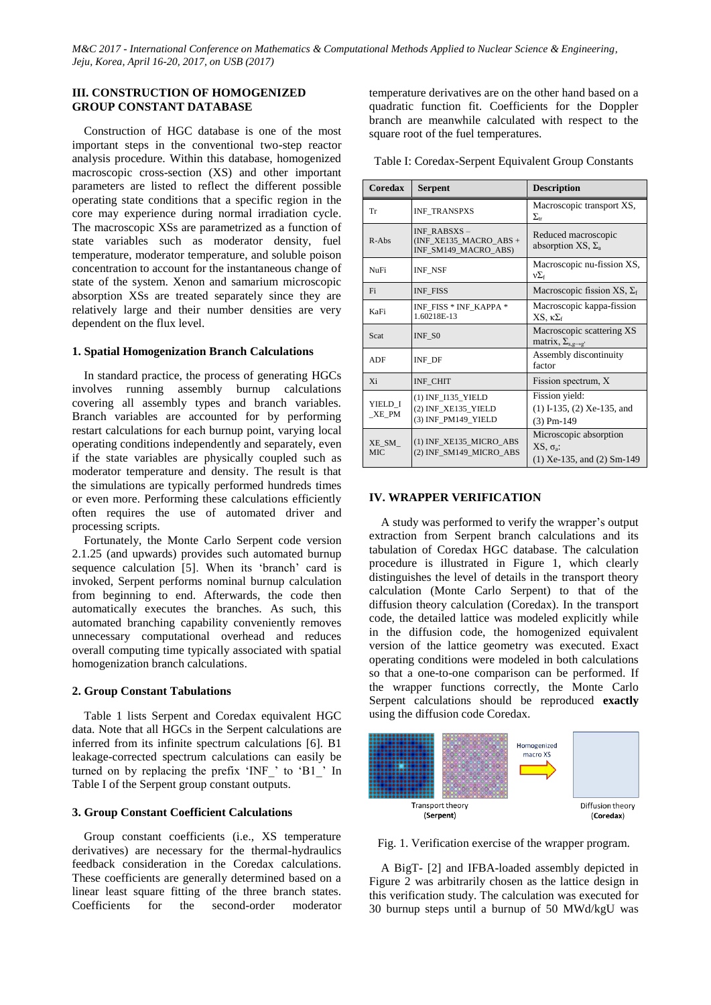## **III. CONSTRUCTION OF HOMOGENIZED GROUP CONSTANT DATABASE**

Construction of HGC database is one of the most important steps in the conventional two-step reactor analysis procedure. Within this database, homogenized macroscopic cross-section (XS) and other important parameters are listed to reflect the different possible operating state conditions that a specific region in the core may experience during normal irradiation cycle. The macroscopic XSs are parametrized as a function of state variables such as moderator density, fuel temperature, moderator temperature, and soluble poison concentration to account for the instantaneous change of state of the system. Xenon and samarium microscopic absorption XSs are treated separately since they are relatively large and their number densities are very dependent on the flux level.

### **1. Spatial Homogenization Branch Calculations**

In standard practice, the process of generating HGCs involves running assembly burnup calculations covering all assembly types and branch variables. Branch variables are accounted for by performing restart calculations for each burnup point, varying local operating conditions independently and separately, even if the state variables are physically coupled such as moderator temperature and density. The result is that the simulations are typically performed hundreds times or even more. Performing these calculations efficiently often requires the use of automated driver and processing scripts.

Fortunately, the Monte Carlo Serpent code version 2.1.25 (and upwards) provides such automated burnup sequence calculation [5]. When its 'branch' card is invoked, Serpent performs nominal burnup calculation from beginning to end. Afterwards, the code then automatically executes the branches. As such, this automated branching capability conveniently removes unnecessary computational overhead and reduces overall computing time typically associated with spatial homogenization branch calculations.

#### **2. Group Constant Tabulations**

Table 1 lists Serpent and Coredax equivalent HGC data. Note that all HGCs in the Serpent calculations are inferred from its infinite spectrum calculations [6]. B1 leakage-corrected spectrum calculations can easily be turned on by replacing the prefix 'INF\_' to 'B1\_' In Table I of the Serpent group constant outputs.

### **3. Group Constant Coefficient Calculations**

Group constant coefficients (i.e., XS temperature derivatives) are necessary for the thermal-hydraulics feedback consideration in the Coredax calculations. These coefficients are generally determined based on a linear least square fitting of the three branch states. Coefficients for the second-order moderator

temperature derivatives are on the other hand based on a quadratic function fit. Coefficients for the Doppler branch are meanwhile calculated with respect to the square root of the fuel temperatures.

Table I: Coredax-Serpent Equivalent Group Constants

| <b>Coredax</b>       | <b>Serpent</b>                                                       | <b>Description</b>                                                           |  |  |
|----------------------|----------------------------------------------------------------------|------------------------------------------------------------------------------|--|--|
| Tr                   | <b>INF TRANSPXS</b>                                                  | Macroscopic transport XS,<br>$\Sigma_{\rm tr}$                               |  |  |
| $R - A$ hs           | <b>INF RABSXS-</b><br>(INF XE135 MACRO ABS +<br>INF_SM149_MACRO_ABS) | Reduced macroscopic<br>absorption XS, $\Sigma_a$                             |  |  |
| NuFi                 | <b>INF NSF</b>                                                       | Macroscopic nu-fission XS,<br>$v\Sigma_f$                                    |  |  |
| Fi                   | <b>INF FISS</b>                                                      | Macroscopic fission XS, $\Sigma_f$                                           |  |  |
| KaFi                 | INF FISS * INF KAPPA *<br>1.60218E-13                                | Macroscopic kappa-fission<br>$XS, \kappa\Sigma_f$                            |  |  |
| Scat                 | INF SO                                                               | Macroscopic scattering XS<br>matrix, $\Sigma_{s,g\rightarrow g'}$            |  |  |
| <b>ADF</b>           | INF DF                                                               | Assembly discontinuity<br>factor                                             |  |  |
| Xi                   | <b>INF CHIT</b>                                                      | Fission spectrum, X                                                          |  |  |
| YIELD I<br>XE PM     | (1) INF 1135 YIELD<br>(2) INF XE135 YIELD<br>(3) INF_PM149_YIELD     | Fission yield:<br>$(1)$ I-135, $(2)$ Xe-135, and<br>$(3) Pm-149$             |  |  |
| XE_SM_<br><b>MIC</b> | (1) INF XE135 MICRO ABS<br>(2) INF_SM149_MICRO_ABS                   | Microscopic absorption<br>$XS, \sigma_a$ :<br>$(1)$ Xe-135, and $(2)$ Sm-149 |  |  |

# **IV. WRAPPER VERIFICATION**

A study was performed to verify the wrapper's output extraction from Serpent branch calculations and its tabulation of Coredax HGC database. The calculation procedure is illustrated in Figure 1, which clearly distinguishes the level of details in the transport theory calculation (Monte Carlo Serpent) to that of the diffusion theory calculation (Coredax). In the transport code, the detailed lattice was modeled explicitly while in the diffusion code, the homogenized equivalent version of the lattice geometry was executed. Exact operating conditions were modeled in both calculations so that a one-to-one comparison can be performed. If the wrapper functions correctly, the Monte Carlo Serpent calculations should be reproduced **exactly** using the diffusion code Coredax.



Fig. 1. Verification exercise of the wrapper program.

A BigT- [2] and IFBA-loaded assembly depicted in Figure 2 was arbitrarily chosen as the lattice design in this verification study. The calculation was executed for 30 burnup steps until a burnup of 50 MWd/kgU was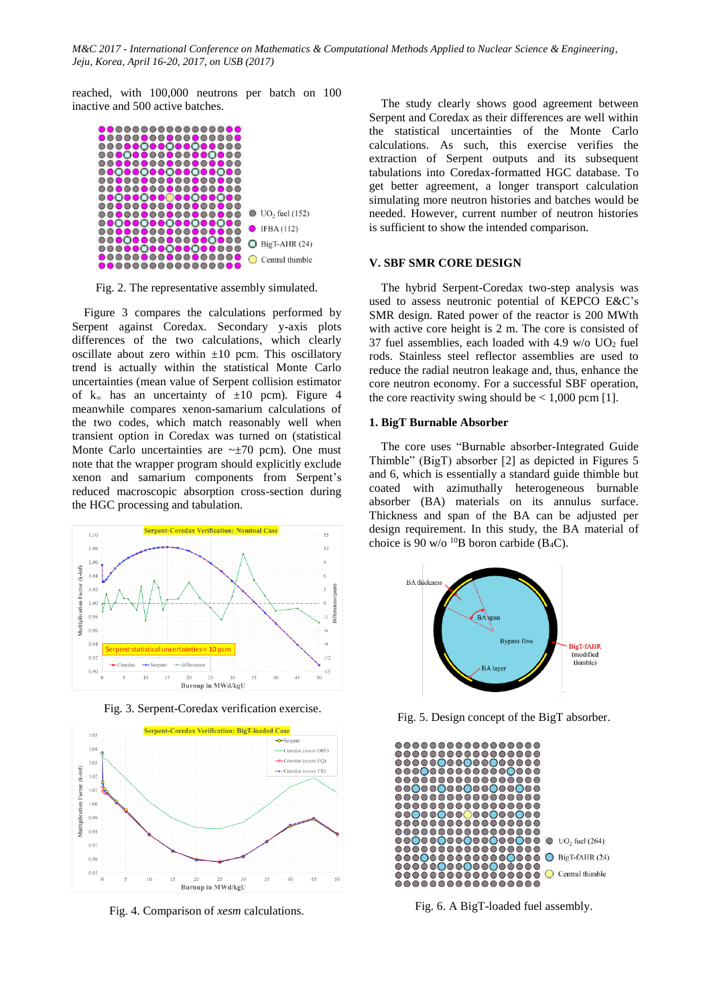reached, with 100,000 neutrons per batch on 100 inactive and 500 active batches.



Fig. 2. The representative assembly simulated.

Figure 3 compares the calculations performed by Serpent against Coredax. Secondary y-axis plots differences of the two calculations, which clearly oscillate about zero within  $\pm 10$  pcm. This oscillatory trend is actually within the statistical Monte Carlo uncertainties (mean value of Serpent collision estimator of  $k_{\infty}$  has an uncertainty of  $\pm 10$  pcm). Figure 4 meanwhile compares xenon-samarium calculations of the two codes, which match reasonably well when transient option in Coredax was turned on (statistical Monte Carlo uncertainties are  $\sim \pm 70$  pcm). One must note that the wrapper program should explicitly exclude xenon and samarium components from Serpent's reduced macroscopic absorption cross-section during the HGC processing and tabulation.



Fig. 3. Serpent-Coredax verification exercise.



Fig. 4. Comparison of *xesm* calculations.

The study clearly shows good agreement between Serpent and Coredax as their differences are well within the statistical uncertainties of the Monte Carlo calculations. As such, this exercise verifies the extraction of Serpent outputs and its subsequent tabulations into Coredax-formatted HGC database. To get better agreement, a longer transport calculation simulating more neutron histories and batches would be needed. However, current number of neutron histories is sufficient to show the intended comparison.

#### **V. SBF SMR CORE DESIGN**

The hybrid Serpent-Coredax two-step analysis was used to assess neutronic potential of KEPCO E&C's SMR design. Rated power of the reactor is 200 MWth with active core height is 2 m. The core is consisted of 37 fuel assemblies, each loaded with 4.9 w/o  $UO<sub>2</sub>$  fuel rods. Stainless steel reflector assemblies are used to reduce the radial neutron leakage and, thus, enhance the core neutron economy. For a successful SBF operation, the core reactivity swing should be  $< 1,000$  pcm [1].

## **1. BigT Burnable Absorber**

The core uses "Burnable absorber-Integrated Guide Thimble" (BigT) absorber [2] as depicted in Figures 5 and 6, which is essentially a standard guide thimble but coated with azimuthally heterogeneous burnable absorber (BA) materials on its annulus surface. Thickness and span of the BA can be adjusted per design requirement. In this study, the BA material of choice is 90 w/o  $^{10}B$  boron carbide (B<sub>4</sub>C).



Fig. 5. Design concept of the BigT absorber.



Fig. 6. A BigT-loaded fuel assembly.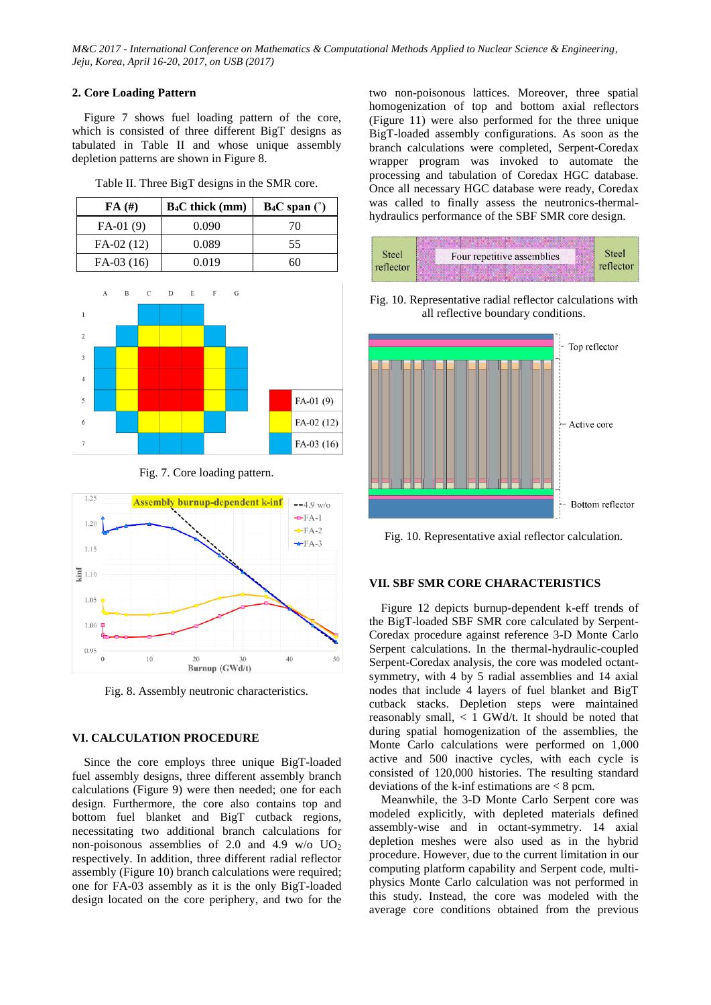### **2. Core Loading Pattern**

Figure 7 shows fuel loading pattern of the core, which is consisted of three different BigT designs as tabulated in Table II and whose unique assembly depletion patterns are shown in Figure 8.

| Table II. Three BigT designs in the SMR core. |  |  |  |  |  |  |  |
|-----------------------------------------------|--|--|--|--|--|--|--|
|-----------------------------------------------|--|--|--|--|--|--|--|

| FA(#)       | B <sub>4</sub> C thick (mm) | $B_4C$ span $(°)$ |  |  |
|-------------|-----------------------------|-------------------|--|--|
| $FA-01(9)$  | 0.090                       | 70                |  |  |
| $FA-02(12)$ | 0.089                       | 55                |  |  |
| $FA-03(16)$ | 0.019                       | 60                |  |  |







Fig. 8. Assembly neutronic characteristics.

## **VI. CALCULATION PROCEDURE**

Since the core employs three unique BigT-loaded fuel assembly designs, three different assembly branch calculations (Figure 9) were then needed; one for each design. Furthermore, the core also contains top and bottom fuel blanket and BigT cutback regions, necessitating two additional branch calculations for non-poisonous assemblies of 2.0 and 4.9 w/o  $UO<sub>2</sub>$ respectively. In addition, three different radial reflector assembly (Figure 10) branch calculations were required; one for FA-03 assembly as it is the only BigT-loaded design located on the core periphery, and two for the

two non-poisonous lattices. Moreover, three spatial homogenization of top and bottom axial reflectors (Figure 11) were also performed for the three unique BigT-loaded assembly configurations. As soon as the branch calculations were completed, Serpent-Coredax wrapper program was invoked to automate the processing and tabulation of Coredax HGC database. Once all necessary HGC database were ready, Coredax was called to finally assess the neutronics-thermalhydraulics performance of the SBF SMR core design.



Fig. 10. Representative radial reflector calculations with all reflective boundary conditions.



Fig. 10. Representative axial reflector calculation.

## **VII. SBF SMR CORE CHARACTERISTICS**

Figure 12 depicts burnup-dependent k-eff trends of the BigT-loaded SBF SMR core calculated by Serpent-Coredax procedure against reference 3-D Monte Carlo Serpent calculations. In the thermal-hydraulic-coupled Serpent-Coredax analysis, the core was modeled octantsymmetry, with 4 by 5 radial assemblies and 14 axial nodes that include 4 layers of fuel blanket and BigT cutback stacks. Depletion steps were maintained reasonably small, < 1 GWd/t. It should be noted that during spatial homogenization of the assemblies, the Monte Carlo calculations were performed on 1,000 active and 500 inactive cycles, with each cycle is consisted of 120,000 histories. The resulting standard deviations of the k-inf estimations are  $< 8$  pcm.

Meanwhile, the 3-D Monte Carlo Serpent core was modeled explicitly, with depleted materials defined assembly-wise and in octant-symmetry. 14 axial depletion meshes were also used as in the hybrid procedure. However, due to the current limitation in our computing platform capability and Serpent code, multiphysics Monte Carlo calculation was not performed in this study. Instead, the core was modeled with the average core conditions obtained from the previous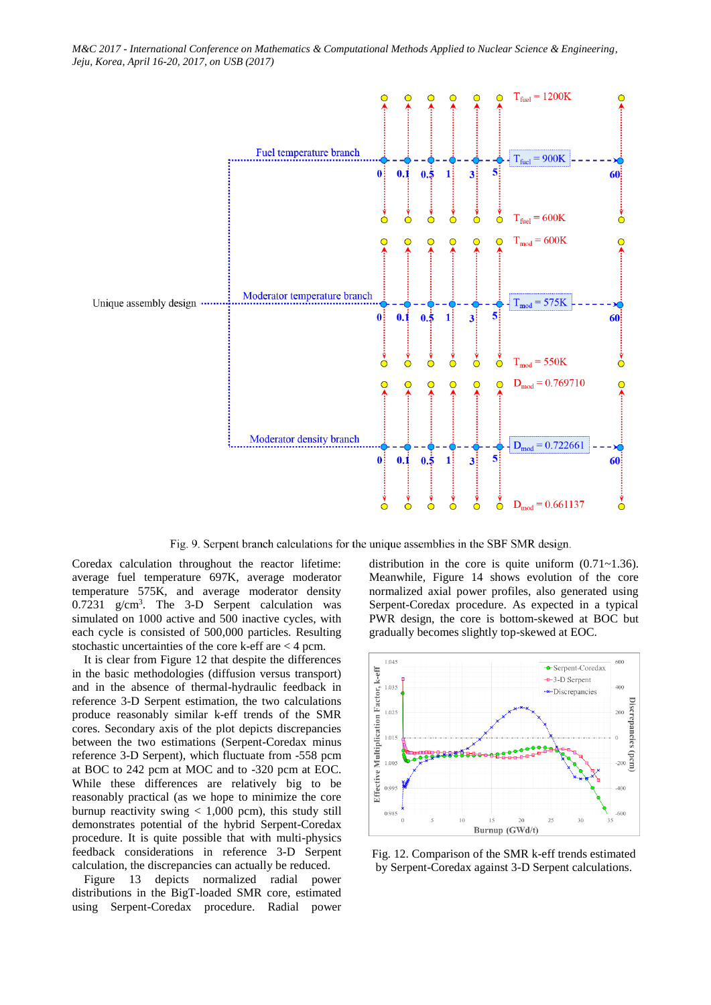

Fig. 9. Serpent branch calculations for the unique assemblies in the SBF SMR design.

Coredax calculation throughout the reactor lifetime: average fuel temperature 697K, average moderator temperature 575K, and average moderator density  $0.7231 \text{ g/cm}^3$ . The 3-D Serpent calculation was simulated on 1000 active and 500 inactive cycles, with each cycle is consisted of 500,000 particles. Resulting stochastic uncertainties of the core k-eff are < 4 pcm.

It is clear from Figure 12 that despite the differences in the basic methodologies (diffusion versus transport) and in the absence of thermal-hydraulic feedback in reference 3-D Serpent estimation, the two calculations produce reasonably similar k-eff trends of the SMR cores. Secondary axis of the plot depicts discrepancies between the two estimations (Serpent-Coredax minus reference 3-D Serpent), which fluctuate from -558 pcm at BOC to 242 pcm at MOC and to -320 pcm at EOC. While these differences are relatively big to be reasonably practical (as we hope to minimize the core burnup reactivity swing  $< 1,000$  pcm), this study still demonstrates potential of the hybrid Serpent-Coredax procedure. It is quite possible that with multi-physics feedback considerations in reference 3-D Serpent calculation, the discrepancies can actually be reduced.

Figure 13 depicts normalized radial power distributions in the BigT-loaded SMR core, estimated using Serpent-Coredax procedure. Radial power

distribution in the core is quite uniform  $(0.71 \sim 1.36)$ . Meanwhile, Figure 14 shows evolution of the core normalized axial power profiles, also generated using Serpent-Coredax procedure. As expected in a typical PWR design, the core is bottom-skewed at BOC but gradually becomes slightly top-skewed at EOC.



Fig. 12. Comparison of the SMR k-eff trends estimated by Serpent-Coredax against 3-D Serpent calculations.